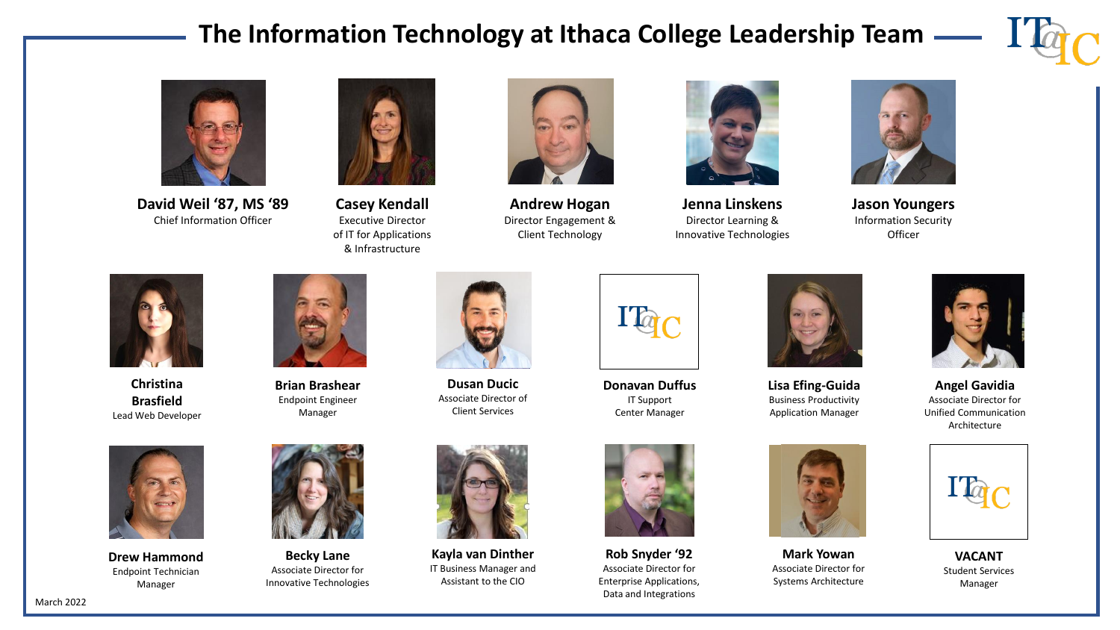## **The Information Technology at Ithaca College Leadership Team**





**David Weil '87, MS '89** Chief Information Officer



**Casey Kendall** Executive Director of IT for Applications & Infrastructure



**Andrew Hogan** Director Engagement & Client Technology



**Jenna Linskens** Director Learning & Innovative Technologies



**Jason Youngers** Information Security **Officer** 



**Christina Brasfield** Lead Web Developer



**Brian Brashear**  Endpoint Engineer Manager



**Dusan Ducic** Associate Director of Client Services



**Donavan Duffus** IT Support Center Manager



**Rob Snyder '92** Associate Director for Enterprise Applications, Data and Integrations



**Lisa Efing-Guida** Business Productivity Application Manager



**Mark Yowan** Associate Director for Systems Architecture



**Angel Gavidia** Associate Director for Unified Communication Architecture



**VACANT** Student Services Manager



**Drew Hammond** Endpoint Technician Manager

March 2022



**Becky Lane** Associate Director for Innovative Technologies



**Kayla van Dinther** IT Business Manager and Assistant to the CIO



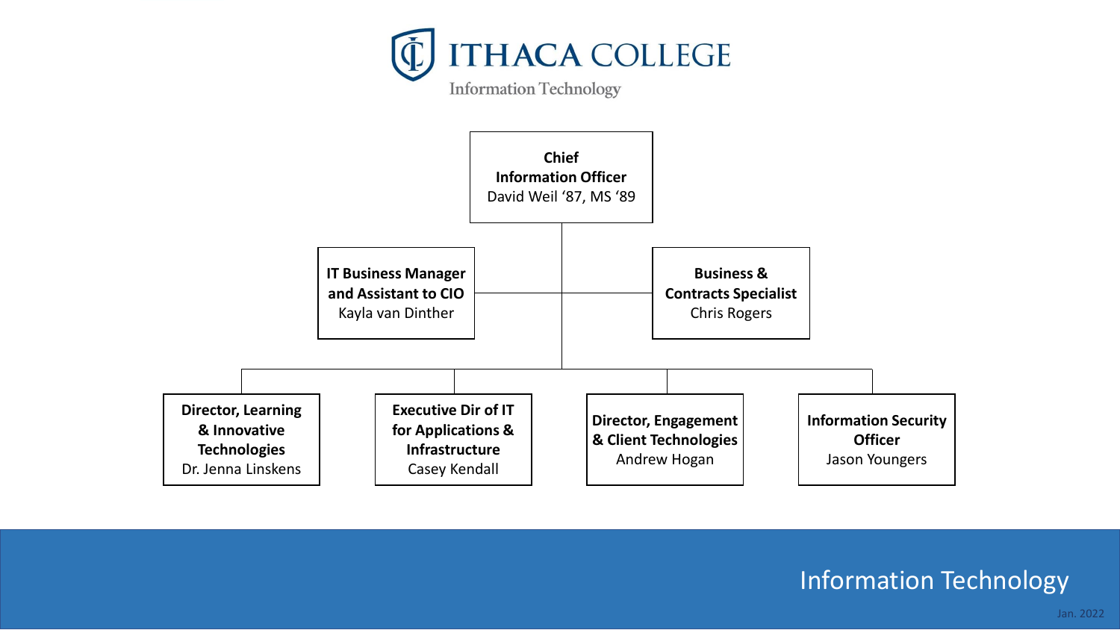



## Information Technology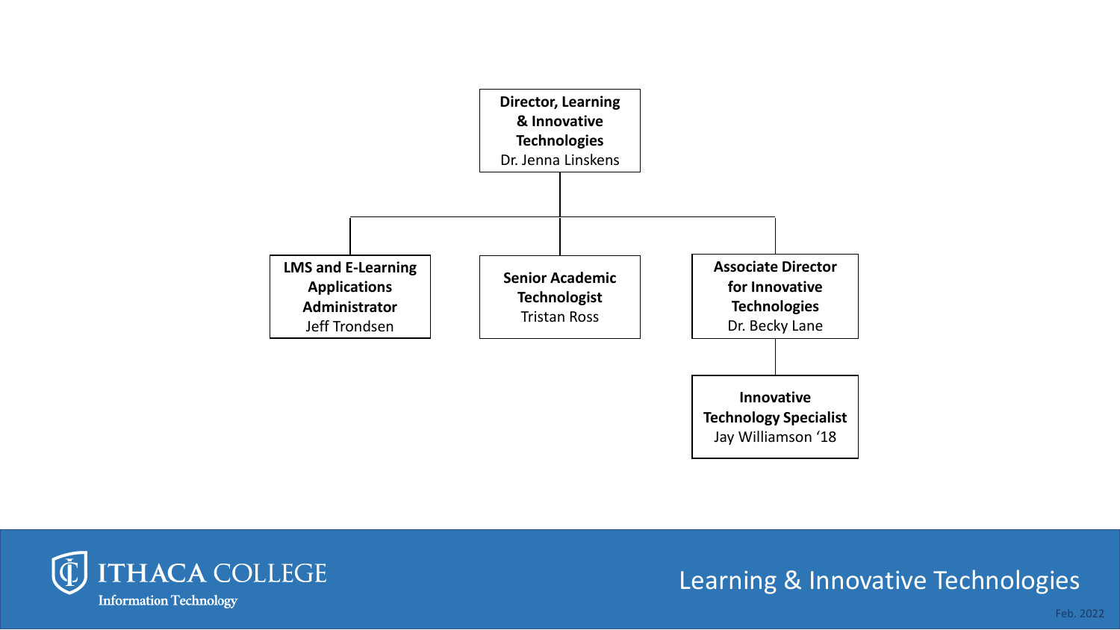



## Learning & Innovative Technologies

Feb. 2022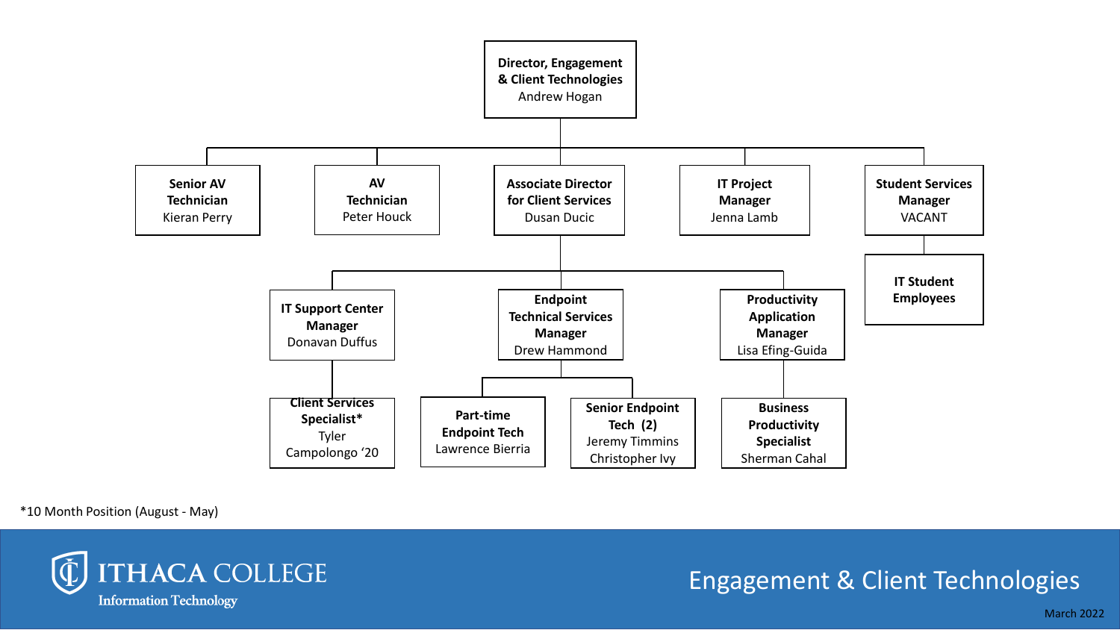

\*10 Month Position (August - May)



## Engagement & Client Technologies

March 2022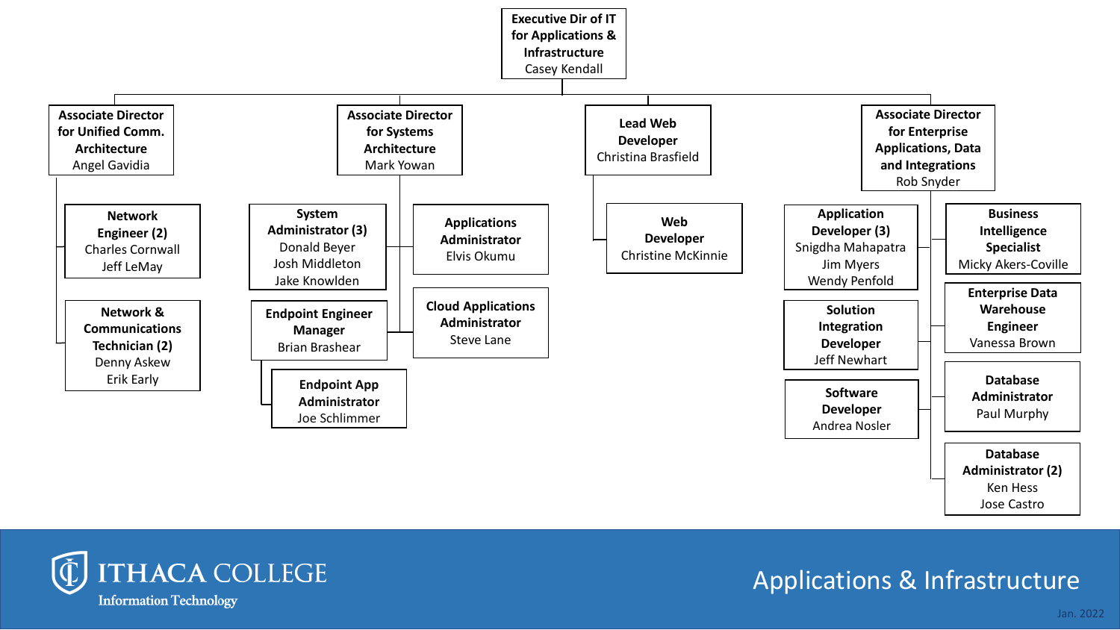



# Applications & Infrastructure

Jan. 2022